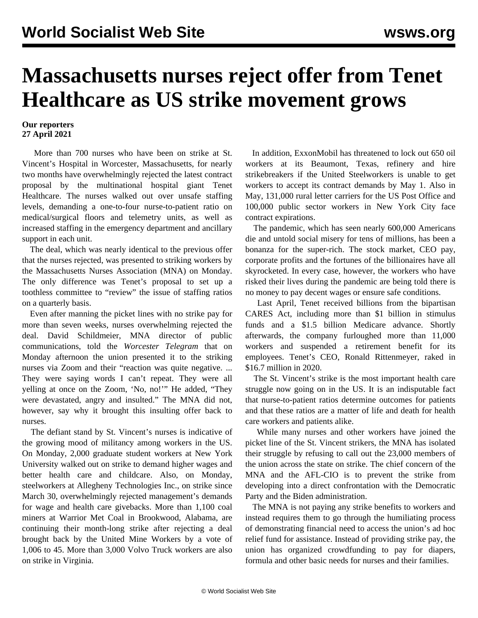## **Massachusetts nurses reject offer from Tenet Healthcare as US strike movement grows**

## **Our reporters 27 April 2021**

 More than 700 nurses who have been on strike at St. Vincent's Hospital in Worcester, Massachusetts, for nearly two months have overwhelmingly rejected the latest contract proposal by the multinational hospital giant Tenet Healthcare. The nurses walked out over unsafe staffing levels, demanding a one-to-four nurse-to-patient ratio on medical/surgical floors and telemetry units, as well as increased staffing in the emergency department and ancillary support in each unit.

 The deal, which was nearly identical to the previous offer that the nurses rejected, was presented to striking workers by the Massachusetts Nurses Association (MNA) on Monday. The only difference was Tenet's proposal to set up a toothless committee to "review" the issue of staffing ratios on a quarterly basis.

 Even after manning the picket lines with no strike pay for more than seven weeks, nurses overwhelming rejected the deal. David Schildmeier, MNA director of public communications, told the *Worcester Telegram* that on Monday afternoon the union presented it to the striking nurses via Zoom and their "reaction was quite negative. ... They were saying words I can't repeat. They were all yelling at once on the Zoom, 'No, no!'" He added, "They were devastated, angry and insulted." The MNA did not, however, say why it brought this insulting offer back to nurses.

 The defiant stand by St. Vincent's nurses is indicative of the growing mood of militancy among workers in the US. On Monday, 2,000 graduate student workers at New York University walked out on strike to demand higher wages and better health care and childcare. Also, on Monday, steelworkers at Allegheny Technologies Inc., on strike since March 30, overwhelmingly rejected management's demands for wage and health care givebacks. More than 1,100 coal miners at Warrior Met Coal in Brookwood, Alabama, are continuing their month-long strike after rejecting a deal brought back by the United Mine Workers by a vote of 1,006 to 45. More than 3,000 Volvo Truck workers are also on strike in Virginia.

 In addition, ExxonMobil has threatened to lock out 650 oil workers at its Beaumont, Texas, refinery and hire strikebreakers if the United Steelworkers is unable to get workers to accept its contract demands by May 1. Also in May, 131,000 rural letter carriers for the US Post Office and 100,000 public sector workers in New York City face contract expirations.

 The pandemic, which has seen nearly 600,000 Americans die and untold social misery for tens of millions, has been a bonanza for the super-rich. The stock market, CEO pay, corporate profits and the fortunes of the billionaires have all skyrocketed. In every case, however, the workers who have risked their lives during the pandemic are being told there is no money to pay decent wages or ensure safe conditions.

 Last April, Tenet received billions from the bipartisan CARES Act, including more than \$1 billion in stimulus funds and a \$1.5 billion Medicare advance. Shortly afterwards, the company furloughed more than 11,000 workers and suspended a retirement benefit for its employees. Tenet's CEO, Ronald Rittenmeyer, raked in \$16.7 million in 2020.

 The St. Vincent's strike is the most important health care struggle now going on in the US. It is an indisputable fact that nurse-to-patient ratios determine outcomes for patients and that these ratios are a matter of life and death for health care workers and patients alike.

 While many nurses and other workers have joined the picket line of the St. Vincent strikers, the MNA has isolated their struggle by refusing to call out the 23,000 members of the union across the state on strike. The chief concern of the MNA and the AFL-CIO is to prevent the strike from developing into a direct confrontation with the Democratic Party and the Biden administration.

 The MNA is not paying any strike benefits to workers and instead requires them to go through the humiliating process of demonstrating financial need to access the union's ad hoc relief fund for assistance. Instead of providing strike pay, the union has organized crowdfunding to pay for diapers, formula and other basic needs for nurses and their families.